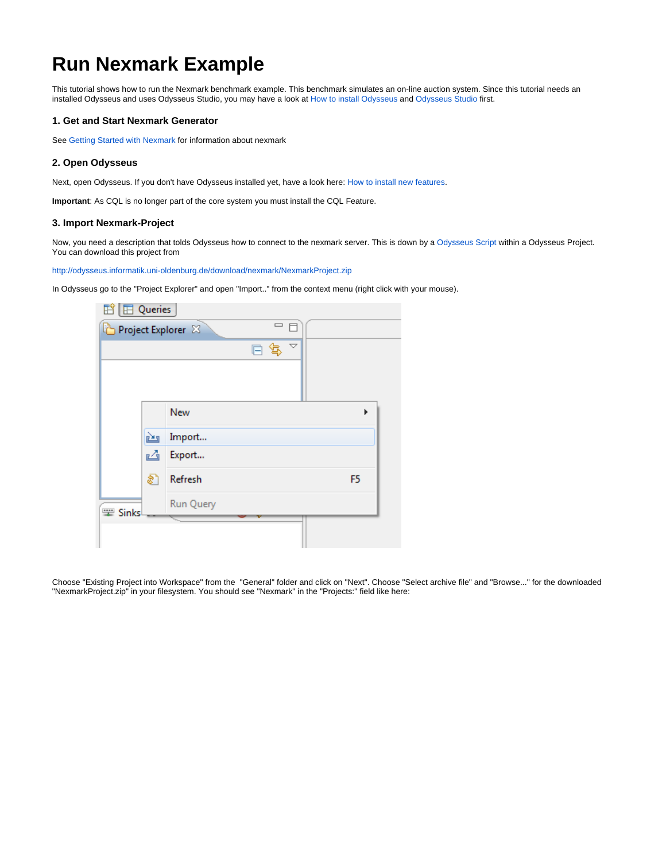# **Run Nexmark Example**

This tutorial shows how to run the Nexmark benchmark example. This benchmark simulates an on-line auction system. Since this tutorial needs an installed Odysseus and uses Odysseus Studio, you may have a look at [How to install Odysseus](https://wiki.odysseus.informatik.uni-oldenburg.de/display/ODYSSEUS/How+to+install+Odysseus) and [Odysseus Studio](https://wiki.odysseus.informatik.uni-oldenburg.de/display/ODYSSEUS/Odysseus+Studio) first.

# **1. Get and Start Nexmark Generator**

See [Getting Started with Nexmark](https://wiki.odysseus.informatik.uni-oldenburg.de/display/ODYSSEUS/Getting+Started+with+Nexmark) for information about nexmark

# **2. Open Odysseus**

Next, open Odysseus. If you don't have Odysseus installed yet, have a look here: [How to install new features](https://wiki.odysseus.informatik.uni-oldenburg.de/display/ODYSSEUS/How+to+install+new+features).

**Important**: As CQL is no longer part of the core system you must install the CQL Feature.

#### **3. Import Nexmark-Project**

Now, you need a description that tolds Odysseus how to connect to the nexmark server. This is down by a [Odysseus Script](https://wiki.odysseus.informatik.uni-oldenburg.de/display/ODYSSEUS/Odysseus+Script) within a Odysseus Project. You can download this project from

<http://odysseus.informatik.uni-oldenburg.de/download/nexmark/NexmarkProject.zip>

In Odysseus go to the "Project Explorer" and open "Import.." from the context menu (right click with your mouse).

| $\mathbb{E}$ $\mathbb{E}$ Queries |    |                              |                         |                     |                |
|-----------------------------------|----|------------------------------|-------------------------|---------------------|----------------|
|                                   |    | Project Explorer $\boxtimes$ | $\qquad \qquad =\qquad$ |                     |                |
|                                   |    |                              | G.<br>侵                 | $\overline{\nabla}$ |                |
|                                   |    |                              |                         |                     |                |
|                                   |    |                              |                         |                     |                |
|                                   |    | <b>New</b>                   |                         |                     |                |
|                                   |    |                              |                         |                     |                |
|                                   | è  | Import                       |                         |                     |                |
|                                   | ఆ  | Export                       |                         |                     |                |
|                                   | ଛା | Refresh                      |                         |                     | F <sub>5</sub> |
|                                   |    |                              |                         |                     |                |
| Sinks                             |    | Run Query                    |                         |                     |                |
|                                   |    |                              |                         |                     |                |
|                                   |    |                              |                         |                     |                |

Choose "Existing Project into Workspace" from the "General" folder and click on "Next". Choose "Select archive file" and "Browse..." for the downloaded "NexmarkProject.zip" in your filesystem. You should see "Nexmark" in the "Projects:" field like here: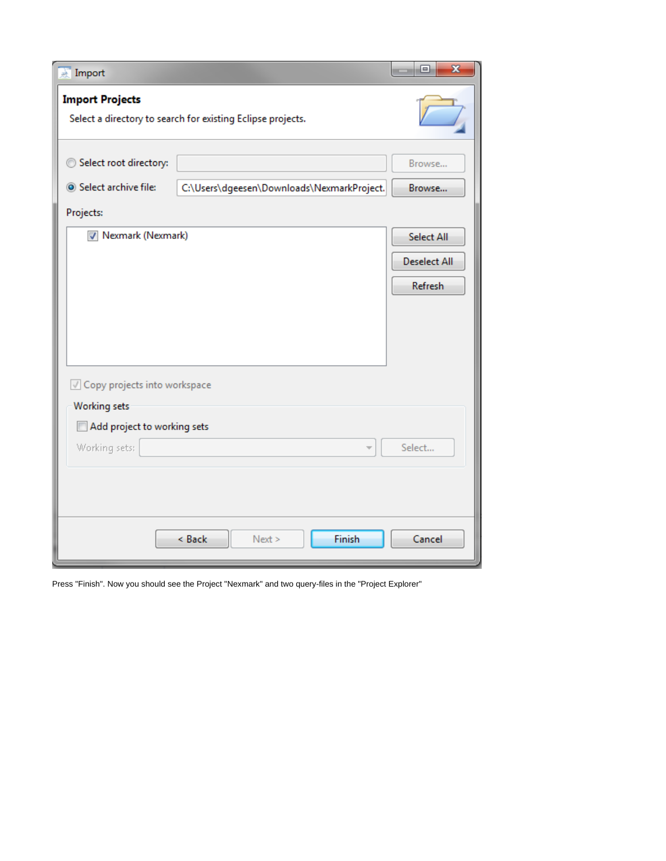| Import                                                                                              |                                            | $\overline{\mathbf{x}}$<br>回 |  |  |  |  |  |
|-----------------------------------------------------------------------------------------------------|--------------------------------------------|------------------------------|--|--|--|--|--|
| <b>Import Projects</b><br>Select a directory to search for existing Eclipse projects.               |                                            |                              |  |  |  |  |  |
| Select root directory:<br>Select archive file:<br>Projects:                                         | C:\Users\dgeesen\Downloads\NexmarkProject. | Browse<br>Browse             |  |  |  |  |  |
|                                                                                                     | V Nexmark (Nexmark)                        |                              |  |  |  |  |  |
| Copy projects into workspace<br><b>Working sets</b><br>Add project to working sets<br>Working sets: | Finish<br>< Back<br>Next >                 | Select                       |  |  |  |  |  |
|                                                                                                     | Cancel                                     |                              |  |  |  |  |  |

Press "Finish". Now you should see the Project "Nexmark" and two query-files in the "Project Explorer"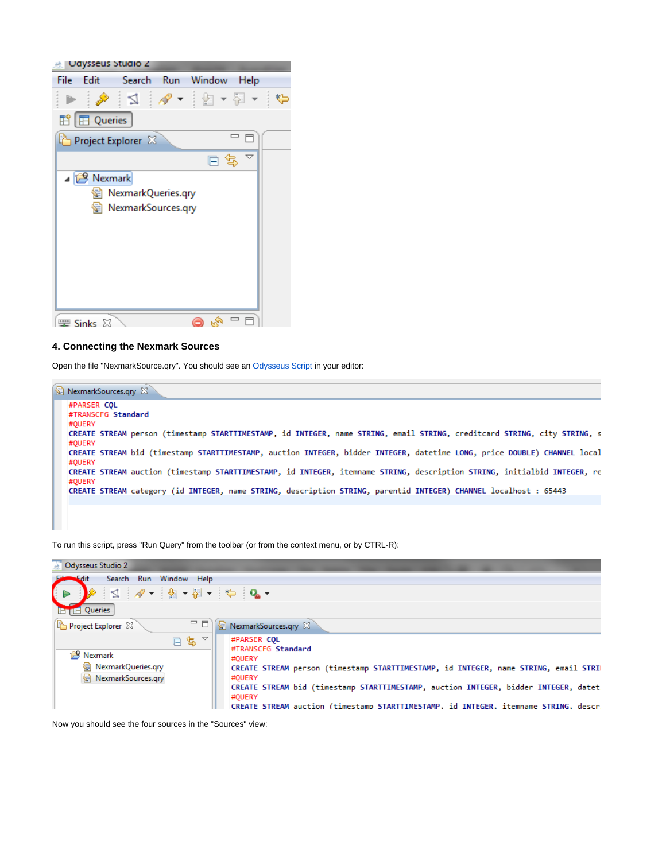

### **4. Connecting the Nexmark Sources**

Open the file "NexmarkSource.qry". You should see an [Odysseus Script](https://wiki.odysseus.informatik.uni-oldenburg.de/display/ODYSSEUS/Odysseus+Script) in your editor:



To run this script, press "Run Query" from the toolbar (or from the context menu, or by CTRL-R):



Now you should see the four sources in the "Sources" view: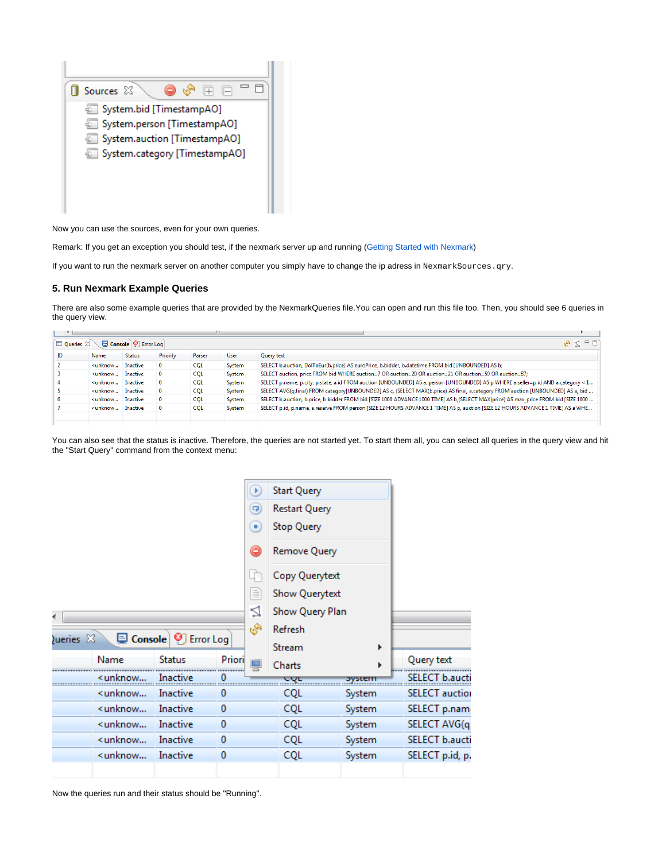

Now you can use the sources, even for your own queries.

Remark: If you get an exception you should test, if the nexmark server up and running [\(Getting Started with Nexmark](https://wiki.odysseus.informatik.uni-oldenburg.de/display/ODYSSEUS/Getting+Started+with+Nexmark))

If you want to run the nexmark server on another computer you simply have to change the ip adress in NexmarkSources.qry.

# **5. Run Nexmark Example Queries**

There are also some example queries that are provided by the NexmarkQueries file.You can open and run this file too. Then, you should see 6 queries in the query view.

|    | $=$ $F$<br>Console   9 Error Log<br>$\mathbb{Z}$ $\mathbb{Z}$<br>Queries 23                                                                                                                                                                                |               |              |            |        |                                                                                                                                     |  |
|----|------------------------------------------------------------------------------------------------------------------------------------------------------------------------------------------------------------------------------------------------------------|---------------|--------------|------------|--------|-------------------------------------------------------------------------------------------------------------------------------------|--|
|    |                                                                                                                                                                                                                                                            |               |              |            |        |                                                                                                                                     |  |
| ID | Name                                                                                                                                                                                                                                                       | <b>Status</b> | Priority     | Parser     | User   | Query text                                                                                                                          |  |
|    | <unknow< td=""><td>Inactive</td><td><math>\mathbf{0}</math></td><td><b>CQL</b></td><td>System</td><td>SELECT b.auction, DolToEur(b.price) AS euroPrice, b.bidder, b.datetime FROM bid [UNBOUNDED] AS b;</td></unknow<>                                     | Inactive      | $\mathbf{0}$ | <b>CQL</b> | System | SELECT b.auction, DolToEur(b.price) AS euroPrice, b.bidder, b.datetime FROM bid [UNBOUNDED] AS b;                                   |  |
|    | <unknow< td=""><td>Inactive</td><td><math>\mathbf 0</math></td><td><b>CQL</b></td><td>System</td><td>SELECT auction, price FROM bid WHERE auction=7 OR auction=20 OR auction=21 OR auction=59 OR auction=87;</td></unknow<>                                | Inactive      | $\mathbf 0$  | <b>CQL</b> | System | SELECT auction, price FROM bid WHERE auction=7 OR auction=20 OR auction=21 OR auction=59 OR auction=87;                             |  |
|    | <unknow< td=""><td>Inactive</td><td><math>\mathbf{0}</math></td><td><b>COL</b></td><td>System</td><td>SELECT p.name, p.city, p.state, a.id FROM auction [UNBOUNDED] AS a, person [UNBOUNDED] AS p WHERE a.seller=p.id AND a.category &lt; 1</td></unknow<> | Inactive      | $\mathbf{0}$ | <b>COL</b> | System | SELECT p.name, p.city, p.state, a.id FROM auction [UNBOUNDED] AS a, person [UNBOUNDED] AS p WHERE a.seller=p.id AND a.category < 1  |  |
|    | <unknow< td=""><td>Inactive</td><td><math>\mathbf{0}</math></td><td><b>COL</b></td><td>System</td><td>SELECT AVG(q.final) FROM category[UNBOUNDED] AS c, (SELECT MAX(b.price) AS final, a.category FROM auction [UNBOUNDED] AS a, bid </td></unknow<>      | Inactive      | $\mathbf{0}$ | <b>COL</b> | System | SELECT AVG(q.final) FROM category[UNBOUNDED] AS c, (SELECT MAX(b.price) AS final, a.category FROM auction [UNBOUNDED] AS a, bid     |  |
|    | <unknow< td=""><td>Inactive</td><td><math>\mathbf{0}</math></td><td><b>COL</b></td><td>System</td><td>SELECT b.auction, b.price, b.bidder FROM bid [SIZE 1000 ADVANCE 1000 TIME] AS b,(SELECT MAX(price) AS max_price FROM bid [SIZE 1000 </td></unknow<>  | Inactive      | $\mathbf{0}$ | <b>COL</b> | System | SELECT b.auction, b.price, b.bidder FROM bid [SIZE 1000 ADVANCE 1000 TIME] AS b,(SELECT MAX(price) AS max_price FROM bid [SIZE 1000 |  |
|    | <unknow< td=""><td>Inactive</td><td><math>\mathbf{0}</math></td><td><b>CQL</b></td><td>System</td><td>SELECT p.id, p.name, a.reserve FROM person [SIZE 12 HOURS ADVANCE 1 TIME] AS p, auction [SIZE 12 HOURS ADVANCE 1 TIME] AS a WHE</td></unknow<>       | Inactive      | $\mathbf{0}$ | <b>CQL</b> | System | SELECT p.id, p.name, a.reserve FROM person [SIZE 12 HOURS ADVANCE 1 TIME] AS p, auction [SIZE 12 HOURS ADVANCE 1 TIME] AS a WHE     |  |
|    |                                                                                                                                                                                                                                                            |               |              |            |        |                                                                                                                                     |  |

You can also see that the status is inactive. Therefore, the queries are not started yet. To start them all, you can select all queries in the query view and hit the "Start Query" command from the context menu:

|  |                                                                                                                                 |               |            | ×              | <b>Start Query</b>     |        |                               |
|--|---------------------------------------------------------------------------------------------------------------------------------|---------------|------------|----------------|------------------------|--------|-------------------------------|
|  |                                                                                                                                 |               |            | $\overline{P}$ | <b>Restart Query</b>   |        |                               |
|  |                                                                                                                                 |               |            | Ξ              | <b>Stop Query</b>      |        |                               |
|  |                                                                                                                                 |               |            | ۸              | Remove Query           |        |                               |
|  |                                                                                                                                 |               |            |                | Copy Querytext         |        |                               |
|  |                                                                                                                                 |               |            | ≣              | Show Querytext         |        |                               |
|  |                                                                                                                                 |               |            | ₫              | Show Query Plan        |        |                               |
|  | <b>SA</b><br>L Console   9 Error Log<br>Queries $23$                                                                            |               |            |                | Refresh<br>Stream<br>▶ |        |                               |
|  |                                                                                                                                 |               |            |                |                        |        |                               |
|  | Name                                                                                                                            | <b>Status</b> | Priori<br> |                | Charts                 |        | Query text<br><b>ANNA ANN</b> |
|  | <unknow< th=""><th>Inactive</th><th></th><th></th><th>UUL</th><th>ושאפעכ</th><th>SFI F</th></unknow<>                           | Inactive      |            |                | UUL                    | ושאפעכ | SFI F                         |
|  | <unknow< td=""><td>Inactive</td><td>0</td><td></td><td><b>CQL</b></td><td>System</td><td><b>SELECT</b> auction</td></unknow<>   | Inactive      | 0          |                | <b>CQL</b>             | System | <b>SELECT</b> auction         |
|  | <unknow< td=""><td>Inactive</td><td>0</td><td></td><td><b>CQL</b></td><td>System</td><td>SELECT p.nam</td></unknow<>            | Inactive      | 0          |                | <b>CQL</b>             | System | SELECT p.nam                  |
|  | <unknow< td=""><td>Inactive</td><td><math>\bf{0}</math></td><td></td><td>CQL</td><td>System</td><td>SELECT AVG(q</td></unknow<> | Inactive      | $\bf{0}$   |                | CQL                    | System | SELECT AVG(q                  |
|  | <unknow< td=""><td>Inactive</td><td>0</td><td></td><td><b>CQL</b></td><td>System</td><td>SELECT b.aucti</td></unknow<>          | Inactive      | 0          |                | <b>CQL</b>             | System | SELECT b.aucti                |
|  | <unknow< th=""><th>Inactive</th><th>0</th><th></th><th><b>CQL</b></th><th>System</th><th>SELECT p.id, p.</th></unknow<>         | Inactive      | 0          |                | <b>CQL</b>             | System | SELECT p.id, p.               |
|  |                                                                                                                                 |               |            |                |                        |        |                               |

Now the queries run and their status should be "Running".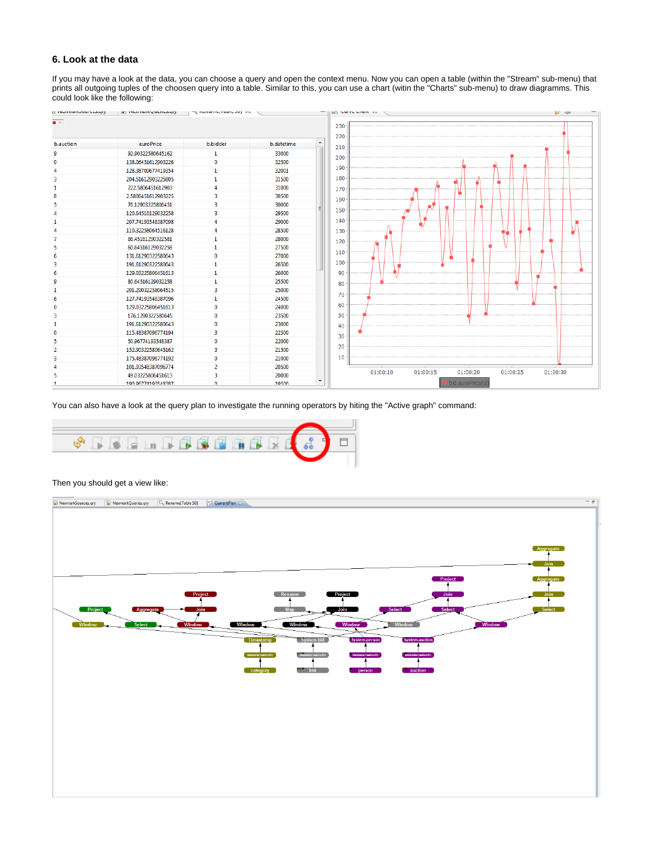## **6. Look at the data**

If you may have a look at the data, you can choose a query and open the context menu. Now you can open a table (within the "Stream" sub-menu) that prints all outgoing tuples of the choosen query into a table. Similar to this, you can use a chart (witin the "Charts" sub-menu) to draw diagramms. This could look like the following:



You can also have a look at the query plan to investigate the running operators by hiting the "Active graph" command:



#### Then you should get a view like: